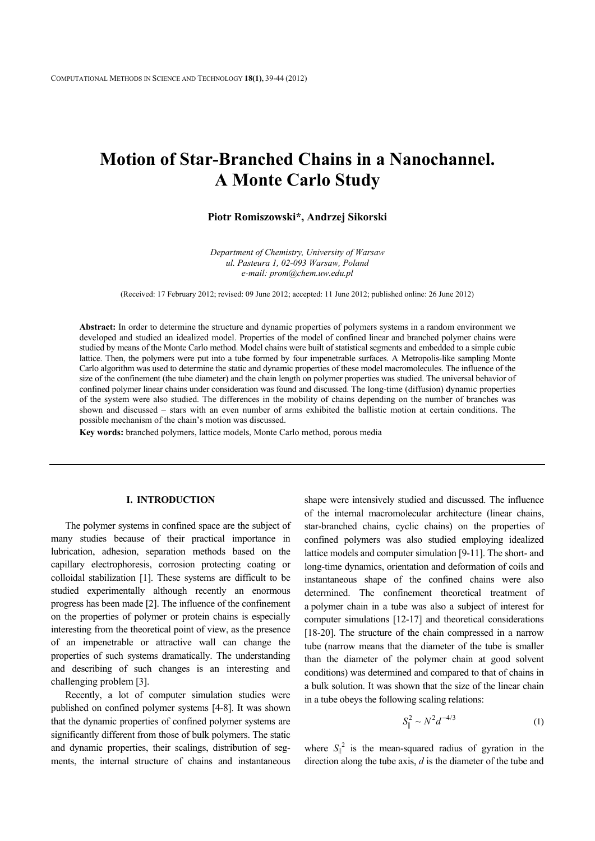# **Motion of Star-Branched Chains in a Nanochannel. A Monte Carlo Study**

# **Piotr Romiszowski\*, Andrzej Sikorski**

*Department of Chemistry, University of Warsaw ul. Pasteura 1, 02-093 Warsaw, Poland e-mail: prom@chem.uw.edu.pl* 

(Received: 17 February 2012; revised: 09 June 2012; accepted: 11 June 2012; published online: 26 June 2012)

**Abstract:** In order to determine the structure and dynamic properties of polymers systems in a random environment we developed and studied an idealized model. Properties of the model of confined linear and branched polymer chains were studied by means of the Monte Carlo method. Model chains were built of statistical segments and embedded to a simple cubic lattice. Then, the polymers were put into a tube formed by four impenetrable surfaces. A Metropolis-like sampling Monte Carlo algorithm was used to determine the static and dynamic properties of these model macromolecules. The influence of the size of the confinement (the tube diameter) and the chain length on polymer properties was studied. The universal behavior of confined polymer linear chains under consideration was found and discussed. The long-time (diffusion) dynamic properties of the system were also studied. The differences in the mobility of chains depending on the number of branches was shown and discussed – stars with an even number of arms exhibited the ballistic motion at certain conditions. The possible mechanism of the chain's motion was discussed.

**Key words:** branched polymers, lattice models, Monte Carlo method, porous media

# **I. INTRODUCTION**

The polymer systems in confined space are the subject of many studies because of their practical importance in lubrication, adhesion, separation methods based on the capillary electrophoresis, corrosion protecting coating or colloidal stabilization [1]. These systems are difficult to be studied experimentally although recently an enormous progress has been made [2]. The influence of the confinement on the properties of polymer or protein chains is especially interesting from the theoretical point of view, as the presence of an impenetrable or attractive wall can change the properties of such systems dramatically. The understanding and describing of such changes is an interesting and challenging problem [3].

Recently, a lot of computer simulation studies were published on confined polymer systems [4-8]. It was shown that the dynamic properties of confined polymer systems are significantly different from those of bulk polymers. The static and dynamic properties, their scalings, distribution of segments, the internal structure of chains and instantaneous shape were intensively studied and discussed. The influence of the internal macromolecular architecture (linear chains, star-branched chains, cyclic chains) on the properties of confined polymers was also studied employing idealized lattice models and computer simulation [9-11]. The short- and long-time dynamics, orientation and deformation of coils and instantaneous shape of the confined chains were also determined. The confinement theoretical treatment of a polymer chain in a tube was also a subject of interest for computer simulations [12-17] and theoretical considerations [18-20]. The structure of the chain compressed in a narrow tube (narrow means that the diameter of the tube is smaller than the diameter of the polymer chain at good solvent conditions) was determined and compared to that of chains in a bulk solution. It was shown that the size of the linear chain in a tube obeys the following scaling relations:

$$
S_{\parallel}^{2} \sim N^{2} d^{-4/3}
$$
 (1)

where  $S_{\parallel}^2$  is the mean-squared radius of gyration in the direction along the tube axis, *d* is the diameter of the tube and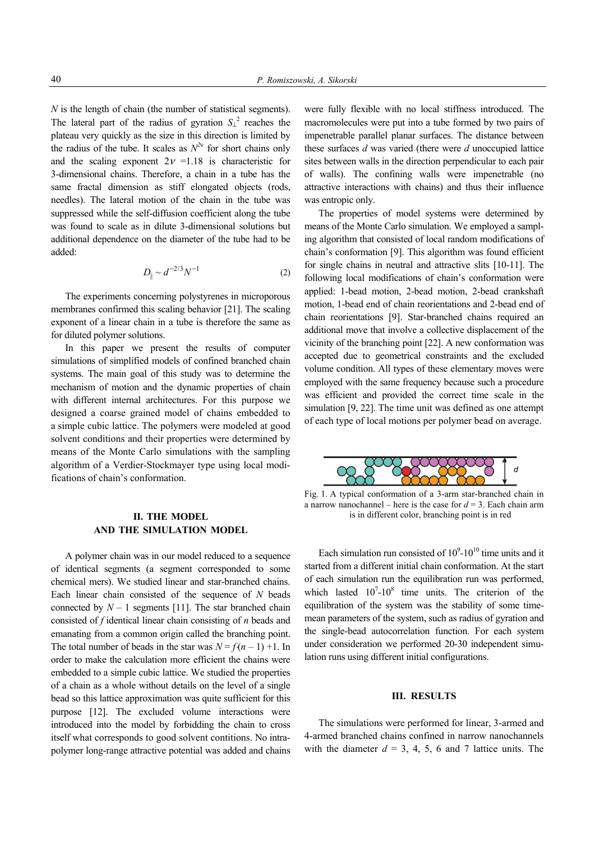*N* is the length of chain (the number of statistical segments). The lateral part of the radius of gyration  $S_{\perp}^2$  reaches the plateau very quickly as the size in this direction is limited by the radius of the tube. It scales as  $N^{2v}$  for short chains only and the scaling exponent  $2v = 1.18$  is characteristic for 3-dimensional chains. Therefore, a chain in a tube has the same fractal dimension as stiff elongated objects (rods, needles). The lateral motion of the chain in the tube was suppressed while the self-diffusion coefficient along the tube was found to scale as in dilute 3-dimensional solutions but additional dependence on the diameter of the tube had to be added:

$$
D_{\parallel} \sim d^{-2/3} N^{-1} \tag{2}
$$

The experiments concerning polystyrenes in microporous membranes confirmed this scaling behavior [21]. The scaling exponent of a linear chain in a tube is therefore the same as for diluted polymer solutions.

In this paper we present the results of computer simulations of simplified models of confined branched chain systems. The main goal of this study was to determine the mechanism of motion and the dynamic properties of chain with different internal architectures. For this purpose we designed a coarse grained model of chains embedded to a simple cubic lattice. The polymers were modeled at good solvent conditions and their properties were determined by means of the Monte Carlo simulations with the sampling algorithm of a Verdier-Stockmayer type using local modifications of chain's conformation.

# **II. THE MODEL AND THE SIMULATION MODEL**

A polymer chain was in our model reduced to a sequence of identical segments (a segment corresponded to some chemical mers). We studied linear and star-branched chains. Each linear chain consisted of the sequence of *N* beads connected by  $N-1$  segments [11]. The star branched chain consisted of *f* identical linear chain consisting of *n* beads and emanating from a common origin called the branching point. The total number of beads in the star was  $N = f(n-1) + 1$ . In order to make the calculation more efficient the chains were embedded to a simple cubic lattice. We studied the properties of a chain as a whole without details on the level of a single bead so this lattice approximation was quite sufficient for this purpose [12]. The excluded volume interactions were introduced into the model by forbidding the chain to cross itself what corresponds to good solvent contitions. No intrapolymer long-range attractive potential was added and chains

were fully flexible with no local stiffness introduced. The macromolecules were put into a tube formed by two pairs of impenetrable parallel planar surfaces. The distance between these surfaces *d* was varied (there were *d* unoccupied lattice sites between walls in the direction perpendicular to each pair of walls). The confining walls were impenetrable (no attractive interactions with chains) and thus their influence was entropic only.

The properties of model systems were determined by means of the Monte Carlo simulation. We employed a sampling algorithm that consisted of local random modifications of chain's conformation [9]. This algorithm was found efficient for single chains in neutral and attractive slits [10-11]. The following local modifications of chain's conformation were applied: 1-bead motion, 2-bead motion, 2-bead crankshaft motion, 1-bead end of chain reorientations and 2-bead end of chain reorientations [9]. Star-branched chains required an additional move that involve a collective displacement of the vicinity of the branching point [22]. A new conformation was accepted due to geometrical constraints and the excluded volume condition. All types of these elementary moves were employed with the same frequency because such a procedure was efficient and provided the correct time scale in the simulation [9, 22]. The time unit was defined as one attempt of each type of local motions per polymer bead on average.



Fig. 1. A typical conformation of a 3-arm star-branched chain in a narrow nanochannel – here is the case for  $d = 3$ . Each chain arm is in different color, branching point is in red

Each simulation run consisted of  $10^9$ - $10^{10}$  time units and it started from a different initial chain conformation. At the start of each simulation run the equilibration run was performed, which lasted  $10^7$ - $10^8$  time units. The criterion of the equilibration of the system was the stability of some timemean parameters of the system, such as radius of gyration and the single-bead autocorrelation function. For each system under consideration we performed 20-30 independent simulation runs using different initial configurations.

#### **III. RESULTS**

The simulations were performed for linear, 3-armed and 4-armed branched chains confined in narrow nanochannels with the diameter  $d = 3, 4, 5, 6$  and 7 lattice units. The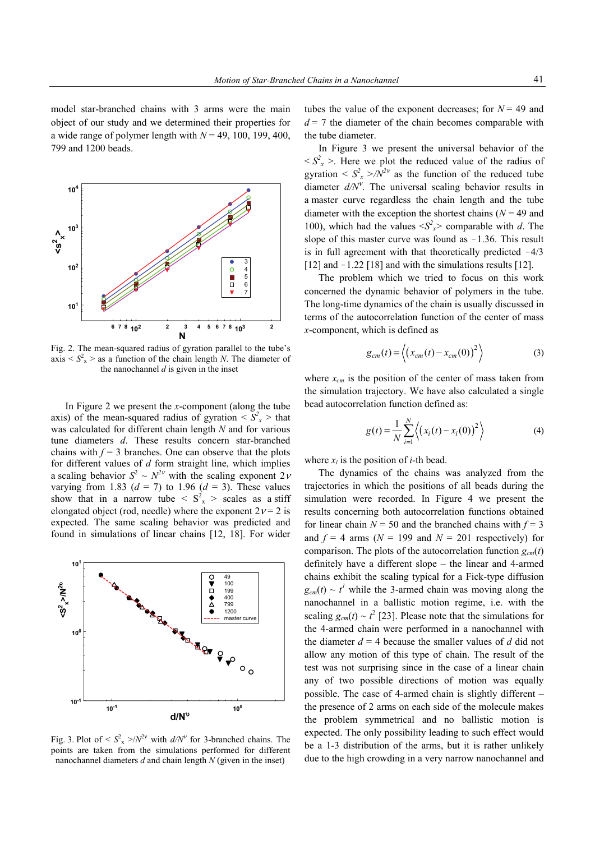model star-branched chains with 3 arms were the main object of our study and we determined their properties for a wide range of polymer length with  $N = 49, 100, 199, 400$ , 799 and 1200 beads.



Fig. 2. The mean-squared radius of gyration parallel to the tube's  $axis < S_x^2$  > as a function of the chain length *N*. The diameter of the nanochannel *d* is given in the inset

In Figure 2 we present the *x*-component (along the tube axis) of the mean-squared radius of gyration  $\langle S_x^2 \rangle$  that was calculated for different chain length *N* and for various tune diameters *d*. These results concern star-branched chains with  $f = 3$  branches. One can observe that the plots for different values of *d* form straight line, which implies a scaling behavior  $S^2 \sim N^{2\nu}$  with the scaling exponent  $2\nu$ varying from 1.83  $(d = 7)$  to 1.96  $(d = 3)$ . These values show that in a narrow tube  $\langle S_x^2 \rangle$  scales as a stiff elongated object (rod, needle) where the exponent  $2v = 2$  is expected. The same scaling behavior was predicted and found in simulations of linear chains [12, 18]. For wider



Fig. 3. Plot of  $\langle S_x^2 \rangle / N^{2v}$  with  $d/N^v$  for 3-branched chains. The points are taken from the simulations performed for different nanochannel diameters *d* and chain length *N* (given in the inset)

tubes the value of the exponent decreases; for  $N = 49$  and  $d = 7$  the diameter of the chain becomes comparable with the tube diameter.

In Figure 3 we present the universal behavior of the  $\langle S_x^2 \rangle$ . Here we plot the reduced value of the radius of gyration  $\langle S_x^2 \rangle / N^{2\nu}$  as the function of the reduced tube diameter  $d/N<sup>v</sup>$ . The universal scaling behavior results in a master curve regardless the chain length and the tube diameter with the exception the shortest chains  $(N = 49)$  and 100), which had the values  $\langle S_x^2 \rangle$  comparable with *d*. The slope of this master curve was found as  $-1.36$ . This result is in full agreement with that theoretically predicted  $-4/3$ [12] and  $-1.22$  [18] and with the simulations results [12].

The problem which we tried to focus on this work concerned the dynamic behavior of polymers in the tube. The long-time dynamics of the chain is usually discussed in terms of the autocorrelation function of the center of mass *x*-component, which is defined as

$$
g_{cm}(t) = \left\langle \left( x_{cm}(t) - x_{cm}(0) \right)^2 \right\rangle \tag{3}
$$

where  $x_{cm}$  is the position of the center of mass taken from the simulation trajectory. We have also calculated a single bead autocorrelation function defined as:

$$
g(t) = \frac{1}{N} \sum_{i=1}^{N} \left\langle (x_i(t) - x_i(0))^2 \right\rangle
$$
 (4)

where  $x_i$  is the position of *i*-th bead.

The dynamics of the chains was analyzed from the trajectories in which the positions of all beads during the simulation were recorded. In Figure 4 we present the results concerning both autocorrelation functions obtained for linear chain  $N = 50$  and the branched chains with  $f = 3$ and  $f = 4$  arms  $(N = 199$  and  $N = 201$  respectively) for comparison. The plots of the autocorrelation function  $g_{cm}(t)$ definitely have a different slope – the linear and 4-armed chains exhibit the scaling typical for a Fick-type diffusion  $g_{cm}(t) \sim t^l$  while the 3-armed chain was moving along the nanochannel in a ballistic motion regime, i.e. with the scaling  $g_{cm}(t) \sim t^2$  [23]. Please note that the simulations for the 4-armed chain were performed in a nanochannel with the diameter  $d = 4$  because the smaller values of *d* did not allow any motion of this type of chain. The result of the test was not surprising since in the case of a linear chain any of two possible directions of motion was equally possible. The case of 4-armed chain is slightly different – the presence of 2 arms on each side of the molecule makes the problem symmetrical and no ballistic motion is expected. The only possibility leading to such effect would be a 1-3 distribution of the arms, but it is rather unlikely due to the high crowding in a very narrow nanochannel and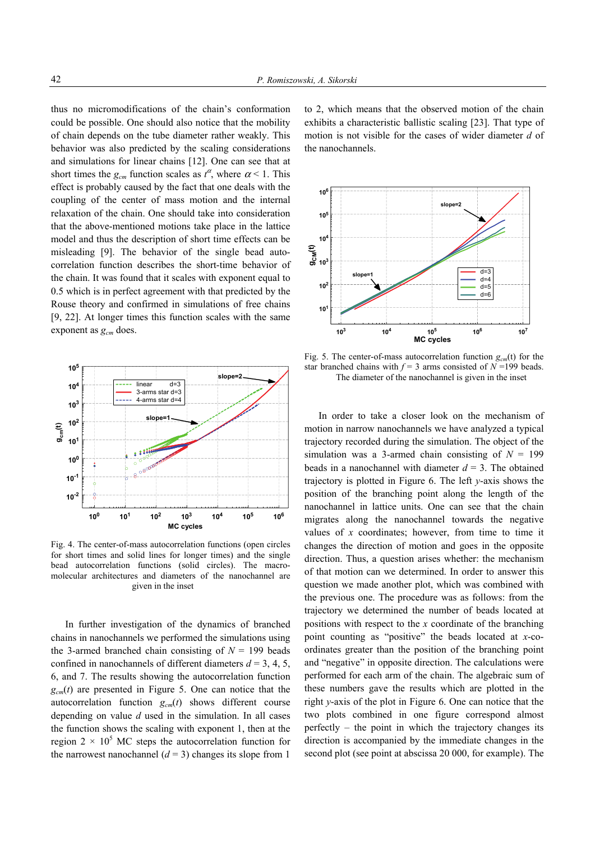thus no micromodifications of the chain's conformation could be possible. One should also notice that the mobility of chain depends on the tube diameter rather weakly. This behavior was also predicted by the scaling considerations and simulations for linear chains [12]. One can see that at short times the  $g_{cm}$  function scales as  $t^{\alpha}$ , where  $\alpha$  < 1. This effect is probably caused by the fact that one deals with the coupling of the center of mass motion and the internal relaxation of the chain. One should take into consideration that the above-mentioned motions take place in the lattice model and thus the description of short time effects can be misleading [9]. The behavior of the single bead autocorrelation function describes the short-time behavior of the chain. It was found that it scales with exponent equal to 0.5 which is in perfect agreement with that predicted by the Rouse theory and confirmed in simulations of free chains [9, 22]. At longer times this function scales with the same exponent as  $g_{cm}$  does.



Fig. 4. The center-of-mass autocorrelation functions (open circles for short times and solid lines for longer times) and the single bead autocorrelation functions (solid circles). The macromolecular architectures and diameters of the nanochannel are given in the inset

In further investigation of the dynamics of branched chains in nanochannels we performed the simulations using the 3-armed branched chain consisting of  $N = 199$  beads confined in nanochannels of different diameters  $d = 3, 4, 5$ , 6, and 7. The results showing the autocorrelation function  $g<sub>cm</sub>(t)$  are presented in Figure 5. One can notice that the autocorrelation function  $g_{cm}(t)$  shows different course depending on value *d* used in the simulation. In all cases the function shows the scaling with exponent 1, then at the region  $2 \times 10^5$  MC steps the autocorrelation function for the narrowest nanochannel  $(d = 3)$  changes its slope from 1

to 2, which means that the observed motion of the chain exhibits a characteristic ballistic scaling [23]. That type of motion is not visible for the cases of wider diameter *d* of the nanochannels.



Fig. 5. The center-of-mass autocorrelation function  $g_{cm}(t)$  for the star branched chains with  $f = 3$  arms consisted of  $N = 199$  beads. The diameter of the nanochannel is given in the inset

In order to take a closer look on the mechanism of motion in narrow nanochannels we have analyzed a typical trajectory recorded during the simulation. The object of the simulation was a 3-armed chain consisting of  $N = 199$ beads in a nanochannel with diameter  $d = 3$ . The obtained trajectory is plotted in Figure 6. The left *y*-axis shows the position of the branching point along the length of the nanochannel in lattice units. One can see that the chain migrates along the nanochannel towards the negative values of *x* coordinates; however, from time to time it changes the direction of motion and goes in the opposite direction. Thus, a question arises whether: the mechanism of that motion can we determined. In order to answer this question we made another plot, which was combined with the previous one. The procedure was as follows: from the trajectory we determined the number of beads located at positions with respect to the *x* coordinate of the branching point counting as "positive" the beads located at *x*-coordinates greater than the position of the branching point and "negative" in opposite direction. The calculations were performed for each arm of the chain. The algebraic sum of these numbers gave the results which are plotted in the right *y*-axis of the plot in Figure 6. One can notice that the two plots combined in one figure correspond almost perfectly – the point in which the trajectory changes its direction is accompanied by the immediate changes in the second plot (see point at abscissa 20 000, for example). The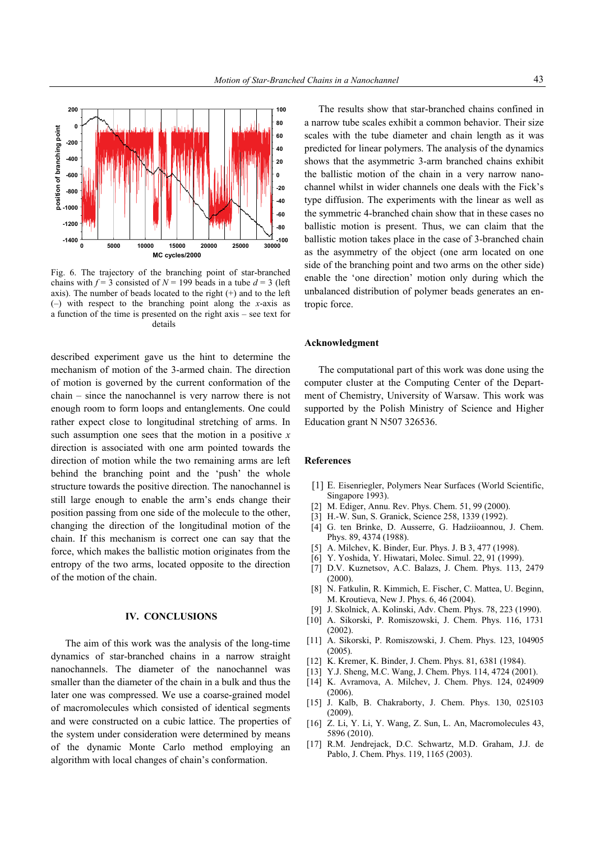

Fig. 6. The trajectory of the branching point of star-branched chains with  $f = 3$  consisted of  $N = 199$  beads in a tube  $d = 3$  (left axis). The number of beads located to the right  $(+)$  and to the left (–) with respect to the branching point along the *x*-axis as a function of the time is presented on the right axis – see text for details

described experiment gave us the hint to determine the mechanism of motion of the 3-armed chain. The direction of motion is governed by the current conformation of the chain – since the nanochannel is very narrow there is not enough room to form loops and entanglements. One could rather expect close to longitudinal stretching of arms. In such assumption one sees that the motion in a positive *x* direction is associated with one arm pointed towards the direction of motion while the two remaining arms are left behind the branching point and the 'push' the whole structure towards the positive direction. The nanochannel is still large enough to enable the arm's ends change their position passing from one side of the molecule to the other, changing the direction of the longitudinal motion of the chain. If this mechanism is correct one can say that the force, which makes the ballistic motion originates from the entropy of the two arms, located opposite to the direction of the motion of the chain.

### **IV. CONCLUSIONS**

The aim of this work was the analysis of the long-time dynamics of star-branched chains in a narrow straight nanochannels. The diameter of the nanochannel was smaller than the diameter of the chain in a bulk and thus the later one was compressed. We use a coarse-grained model of macromolecules which consisted of identical segments and were constructed on a cubic lattice. The properties of the system under consideration were determined by means of the dynamic Monte Carlo method employing an algorithm with local changes of chain's conformation.

The results show that star-branched chains confined in a narrow tube scales exhibit a common behavior. Their size scales with the tube diameter and chain length as it was predicted for linear polymers. The analysis of the dynamics shows that the asymmetric 3-arm branched chains exhibit the ballistic motion of the chain in a very narrow nanochannel whilst in wider channels one deals with the Fick's type diffusion. The experiments with the linear as well as the symmetric 4-branched chain show that in these cases no ballistic motion is present. Thus, we can claim that the ballistic motion takes place in the case of 3-branched chain as the asymmetry of the object (one arm located on one side of the branching point and two arms on the other side) enable the 'one direction' motion only during which the unbalanced distribution of polymer beads generates an entropic force.

#### **Acknowledgment**

The computational part of this work was done using the computer cluster at the Computing Center of the Department of Chemistry, University of Warsaw. This work was supported by the Polish Ministry of Science and Higher Education grant N N507 326536.

#### **References**

- [1] E. Eisenriegler, Polymers Near Surfaces (World Scientific, Singapore 1993).
- [2] M. Ediger, Annu. Rev. Phys. Chem. 51, 99 (2000).
- [3] H.-W. Sun, S. Granick, Science 258, 1339 (1992).
- [4] G. ten Brinke, D. Ausserre, G. Hadziioannou, J. Chem. Phys. 89, 4374 (1988).
- [5] A. Milchev, K. Binder, Eur. Phys. J. B 3, 477 (1998).
- [6] Y. Yoshida, Y. Hiwatari, Molec. Simul. 22, 91 (1999).
- [7] D.V. Kuznetsov, A.C. Balazs, J. Chem. Phys. 113, 2479 (2000).
- [8] N. Fatkulin, R. Kimmich, E. Fischer, C. Mattea, U. Beginn, M. Kroutieva, New J. Phys. 6, 46 (2004).
- [9] J. Skolnick, A. Kolinski, Adv. Chem. Phys. 78, 223 (1990).
- [10] A. Sikorski, P. Romiszowski, J. Chem. Phys. 116, 1731  $(2002)$
- [11] A. Sikorski, P. Romiszowski, J. Chem. Phys. 123, 104905 (2005).
- [12] K. Kremer, K. Binder, J. Chem. Phys. 81, 6381 (1984).
- [13] Y.J. Sheng, M.C. Wang, J. Chem. Phys. 114, 4724 (2001).
- [14] K. Avramova, A. Milchev, J. Chem. Phys. 124, 024909 (2006).
- [15] J. Kalb, B. Chakraborty, J. Chem. Phys. 130, 025103 (2009).
- [16] Z. Li, Y. Li, Y. Wang, Z. Sun, L. An, Macromolecules 43, 5896 (2010).
- [17] R.M. Jendrejack, D.C. Schwartz, M.D. Graham, J.J. de Pablo, J. Chem. Phys. 119, 1165 (2003).